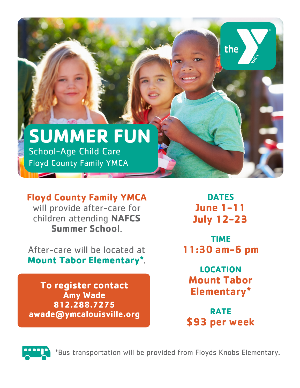

## **Floyd County Family YMCA**  will provide after-care for children attending **NAFCS Summer School**.

After-care will be located at **Mount Tabor Elementary\***.

**To register contact Amy Wade 812.288.7275 awade@ymcalouisville.org**

**DATES June 1-11 July 12-23**

**TIME 11:30 am-6 pm**

**LOCATION Mount Tabor Elementary\***

**RATE \$93 per week**



\*Bus transportation will be provided from Floyds Knobs Elementary.